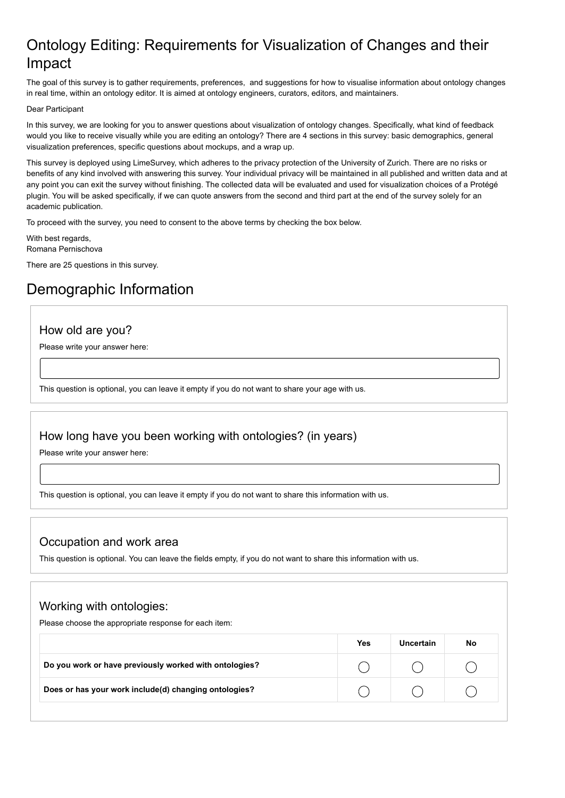## Ontology Editing: Requirements for Visualization of Changes and their Impact

The goal of this survey is to gather requirements, preferences, and suggestions for how to visualise information about ontology changes in real time, within an ontology editor. It is aimed at ontology engineers, curators, editors, and maintainers.

#### Dear Participant

In this survey, we are looking for you to answer questions about visualization of ontology changes. Specifically, what kind of feedback would you like to receive visually while you are editing an ontology? There are 4 sections in this survey: basic demographics, general visualization preferences, specific questions about mockups, and a wrap up.

This survey is deployed using LimeSurvey, which adheres to the privacy protection of the University of Zurich. There are no risks or benefits of any kind involved with answering this survey. Your individual privacy will be maintained in all published and written data and at any point you can exit the survey without finishing. The collected data will be evaluated and used for visualization choices of a Protégé plugin. You will be asked specifically, if we can quote answers from the second and third part at the end of the survey solely for an academic publication.

To proceed with the survey, you need to consent to the above terms by checking the box below.

With best regards, Romana Pernischova

There are 25 questions in this survey.

## Demographic Information

### How old are you?

Please write your answer here:

This question is optional, you can leave it empty if you do not want to share your age with us.

### How long have you been working with ontologies? (in years)

Please write your answer here:

This question is optional, you can leave it empty if you do not want to share this information with us.

### Occupation and work area

This question is optional. You can leave the fields empty, if you do not want to share this information with us.

## Working with ontologies:

Please choose the appropriate response for each item:

|                                                        | Yes | Uncertain | No |
|--------------------------------------------------------|-----|-----------|----|
| Do you work or have previously worked with ontologies? |     |           |    |
| Does or has your work include(d) changing ontologies?  |     |           |    |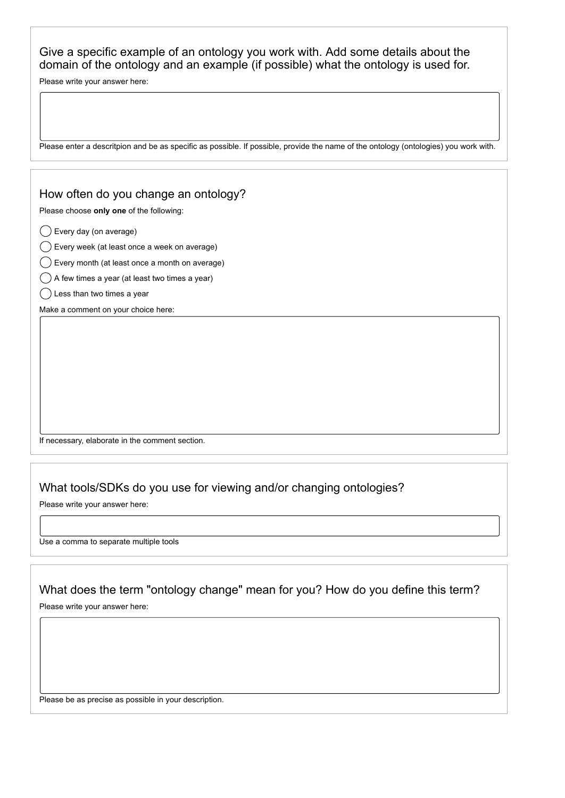Give a specific example of an ontology you work with. Add some details about the domain of the ontology and an example (if possible) what the ontology is used for.

Please write your answer here:

Please enter a descritpion and be as specific as possible. If possible, provide the name of the ontology (ontologies) you work with.

### How often do you change an ontology?

Please choose **only one** of the following:

Every day (on average)

Every week (at least once a week on average)

- $\binom{1}{x}$  Every month (at least once a month on average)
- $\bigcirc$  A few times a year (at least two times a year)
- $\bigcap$  Less than two times a year

Make a comment on your choice here:

If necessary, elaborate in the comment section.

### What tools/SDKs do you use for viewing and/or changing ontologies?

Please write your answer here:

Use a comma to separate multiple tools

What does the term "ontology change" mean for you? How do you define this term?

Please write your answer here:

Please be as precise as possible in your description.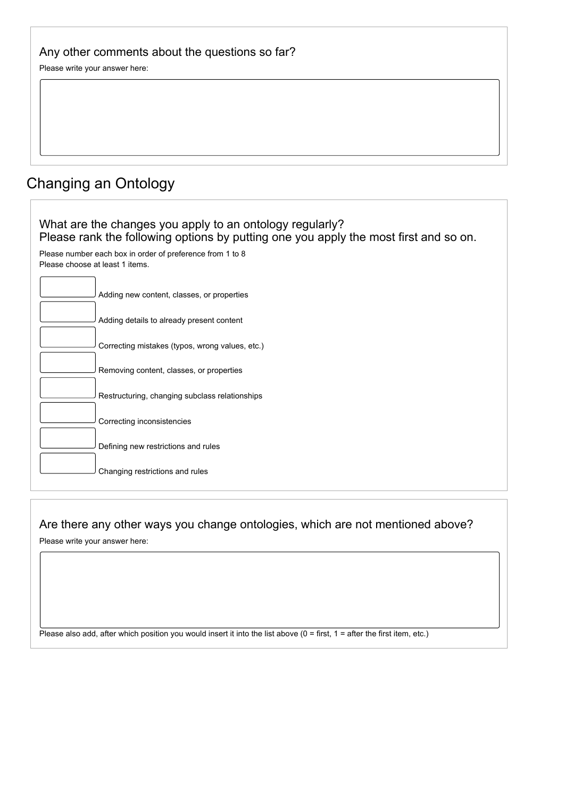| Any other comments about the questions so far? |  |
|------------------------------------------------|--|
|------------------------------------------------|--|

Please write your answer here:

# Changing an Ontology

| What are the changes you apply to an ontology regularly?<br>Please rank the following options by putting one you apply the most first and so on. |
|--------------------------------------------------------------------------------------------------------------------------------------------------|
| Please number each box in order of preference from 1 to 8<br>Please choose at least 1 items.                                                     |
| Adding new content, classes, or properties                                                                                                       |
| Adding details to already present content                                                                                                        |
| Correcting mistakes (typos, wrong values, etc.)                                                                                                  |
| Removing content, classes, or properties                                                                                                         |
| Restructuring, changing subclass relationships                                                                                                   |
| Correcting inconsistencies                                                                                                                       |
| Defining new restrictions and rules                                                                                                              |
| Changing restrictions and rules                                                                                                                  |

Are there any other ways you change ontologies, which are not mentioned above?

Please write your answer here:

Please also add, after which position you would insert it into the list above (0 = first, 1 = after the first item, etc.)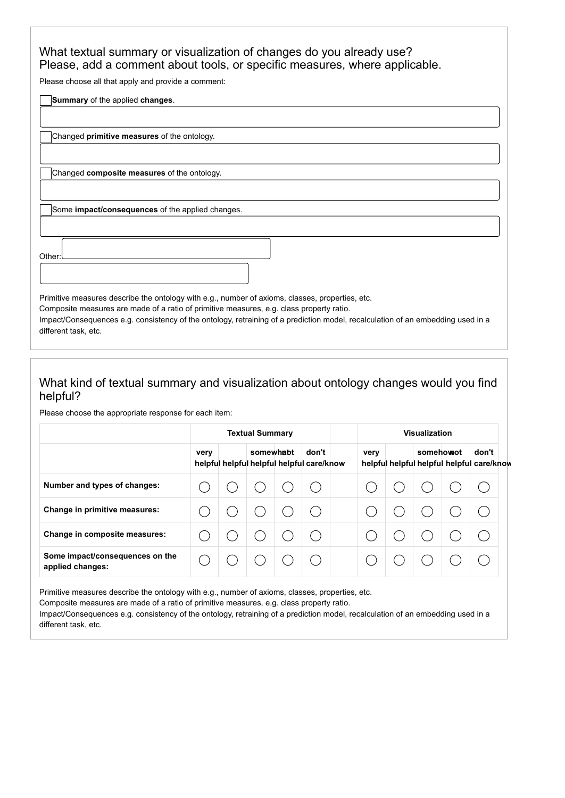## What textual summary or visualization of changes do you already use? Please, add a comment about tools, or specific measures, where applicable.

Please choose all that apply and provide a comment:

**Summary** of the applied **changes**.

Changed **primitive measures** of the ontology.

Changed **composite measures** of the ontology.

Some **impact/consequences** of the applied changes.

Other:

Primitive measures describe the ontology with e.g., number of axioms, classes, properties, etc. Composite measures are made of a ratio of primitive measures, e.g. class property ratio. Impact/Consequences e.g. consistency of the ontology, retraining of a prediction model, recalculation of an embedding used in a different task, etc.

## What kind of textual summary and visualization about ontology changes would you find helpful?

Please choose the appropriate response for each item:

|                                                     | <b>Textual Summary</b> |  |           |  | <b>Visualization</b>                               |      |  |           |  |                                                    |
|-----------------------------------------------------|------------------------|--|-----------|--|----------------------------------------------------|------|--|-----------|--|----------------------------------------------------|
|                                                     | very                   |  | somewhapt |  | don't<br>helpful helpful helpful helpful care/know | very |  | somehowot |  | don't<br>helpful helpful helpful helpful care/know |
| Number and types of changes:                        |                        |  |           |  |                                                    |      |  |           |  |                                                    |
| Change in primitive measures:                       |                        |  |           |  |                                                    |      |  |           |  |                                                    |
| Change in composite measures:                       |                        |  |           |  |                                                    |      |  |           |  |                                                    |
| Some impact/consequences on the<br>applied changes: |                        |  |           |  |                                                    |      |  |           |  |                                                    |

Primitive measures describe the ontology with e.g., number of axioms, classes, properties, etc.

Composite measures are made of a ratio of primitive measures, e.g. class property ratio.

Impact/Consequences e.g. consistency of the ontology, retraining of a prediction model, recalculation of an embedding used in a different task, etc.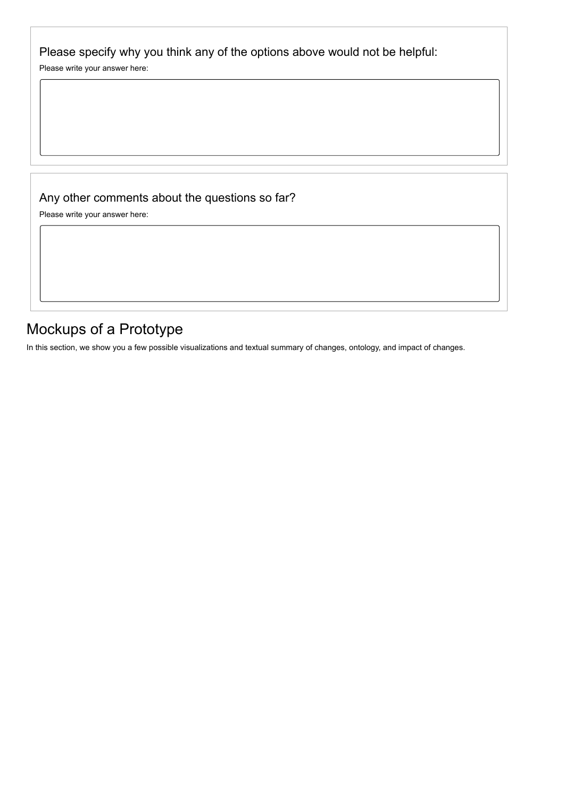Please specify why you think any of the options above would not be helpful:

Please write your answer here:

## Any other comments about the questions so far?

Please write your answer here:

## Mockups of a Prototype

In this section, we show you a few possible visualizations and textual summary of changes, ontology, and impact of changes.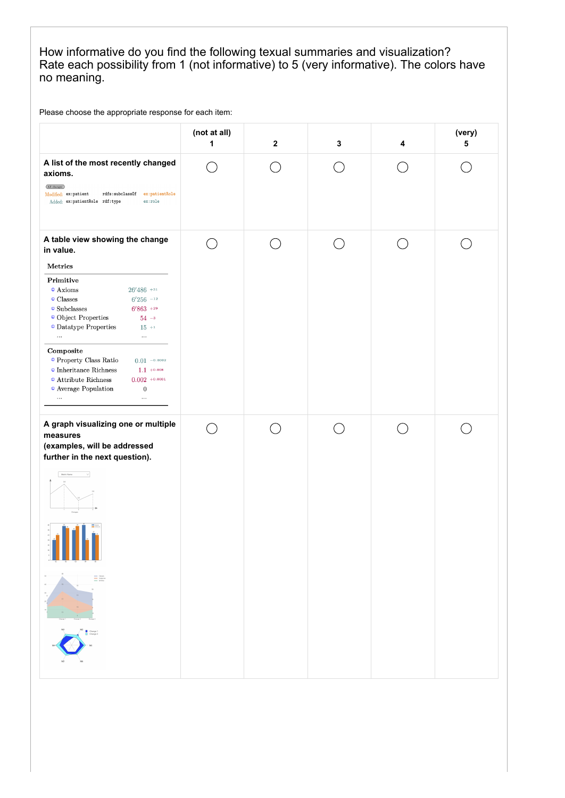## How informative do you find the following texual summaries and visualization? Rate each possibility from 1 (not informative) to 5 (very informative). The colors have no meaning.

Please choose the appropriate response for each item:

|                                                                                                                                                                                                                                                                                                                                                                                                                                                                                                                  | (not at all)<br>1    | $\mathbf 2$   | 3 | 4 | (very)<br>5 |
|------------------------------------------------------------------------------------------------------------------------------------------------------------------------------------------------------------------------------------------------------------------------------------------------------------------------------------------------------------------------------------------------------------------------------------------------------------------------------------------------------------------|----------------------|---------------|---|---|-------------|
| A list of the most recently changed<br>axioms.<br>(All changes)<br>rdfs:subclassOf ex:patientRole<br>Modified: ex:patient<br>Added: ex:patientRole rdf:type<br>ex:role                                                                                                                                                                                                                                                                                                                                           |                      |               |   |   |             |
| A table view showing the change<br>in value.                                                                                                                                                                                                                                                                                                                                                                                                                                                                     | $\ddot{\phantom{1}}$ | $\mathcal{L}$ |   |   |             |
| Metrics<br>Primitive<br>$\odot$ Axioms<br>$26'486$ +31<br>$\circ$ Classes<br>$6'256$ -12<br>$\circ$ Subclasses<br>$6'863$ +29<br>$\bullet$ Object Properties<br>$54 - 3$<br>$\textcolor{orange}{\bullet}$ Datatype Properties<br>$15\,$ +1<br>$\cdots$<br>$\ldots$<br>Composite<br>$\circ$ Property Class Ratio<br>$0.01 - 0.0002$<br>$\odot$ Inheritance Richness<br>$1.1 + 0.008$<br>$0.002$ +0.0001<br>$\odot$ Attribute Richness<br>$\bullet$ Average Population<br>$\boldsymbol{0}$<br>$\ldots$<br>$\cdots$ |                      |               |   |   |             |
| A graph visualizing one or multiple<br>measures<br>(examples, will be addressed<br>further in the next question).<br>Metric Name<br>$\vee$<br>$\equiv \stackrel{\scriptscriptstyle \mathrm{loss}}{\scriptscriptstyle \mathrm{free}}$<br>Change 1<br>El Change 2                                                                                                                                                                                                                                                  |                      |               |   |   |             |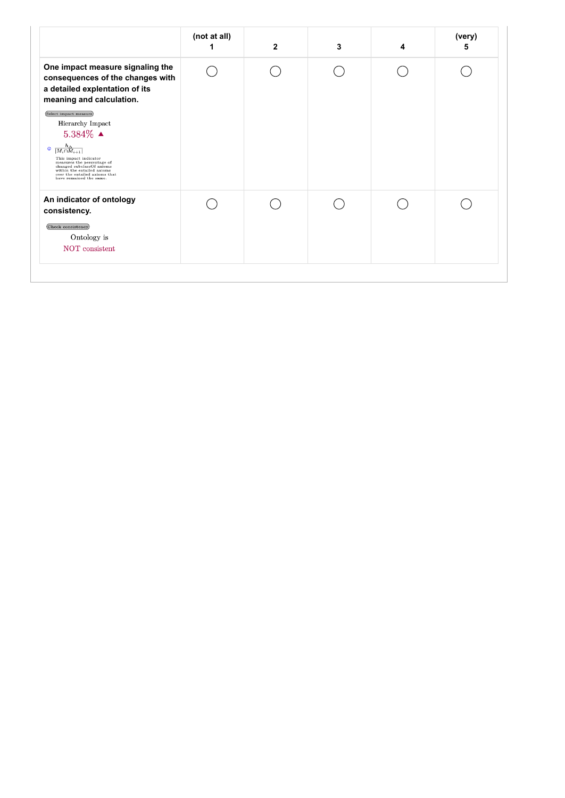|                                                                                                                                                                                                                                                                                                             | (not at all) | $\mathbf{2}$ | 3 | 4 | (very)<br>5 |
|-------------------------------------------------------------------------------------------------------------------------------------------------------------------------------------------------------------------------------------------------------------------------------------------------------------|--------------|--------------|---|---|-------------|
| One impact measure signaling the<br>consequences of the changes with<br>a detailed explentation of its<br>meaning and calculation.                                                                                                                                                                          |              |              |   |   |             |
| Select impact measure)<br>Hierarchy Impact<br>$5.384\%$ $\triangle$<br>$\circledcirc$ $\frac{h_{\Delta}}{ M_i \cap M_{i+1} }$<br>This impact indicator<br>measures the percentage of<br>changed subclassOf axioms<br>within the entailed axioms<br>over the entailed axioms that<br>have remained the same. |              |              |   |   |             |
| An indicator of ontology<br>consistency.<br>Check consistency)<br>Ontology is<br>NOT consistent                                                                                                                                                                                                             |              |              |   |   |             |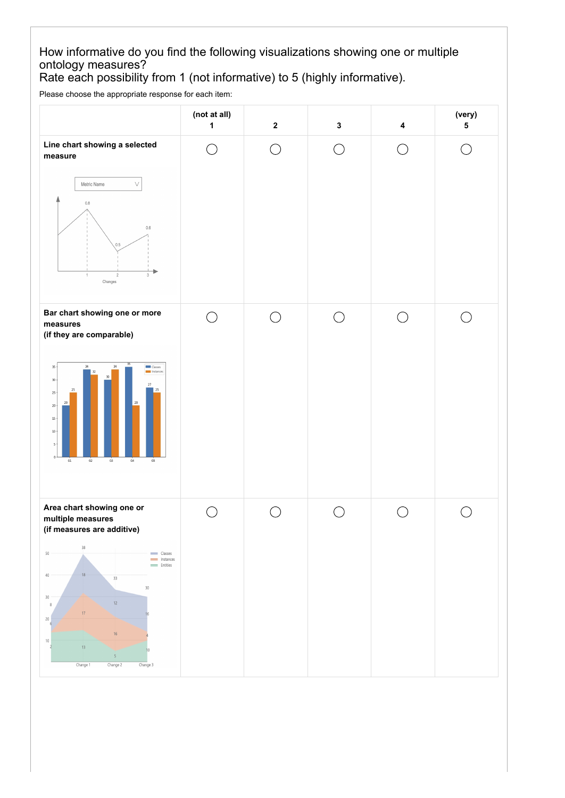## How informative do you find the following visualizations showing one or multiple ontology measures?

Rate each possibility from 1 (not informative) to 5 (highly informative).

Please choose the appropriate response for each item:

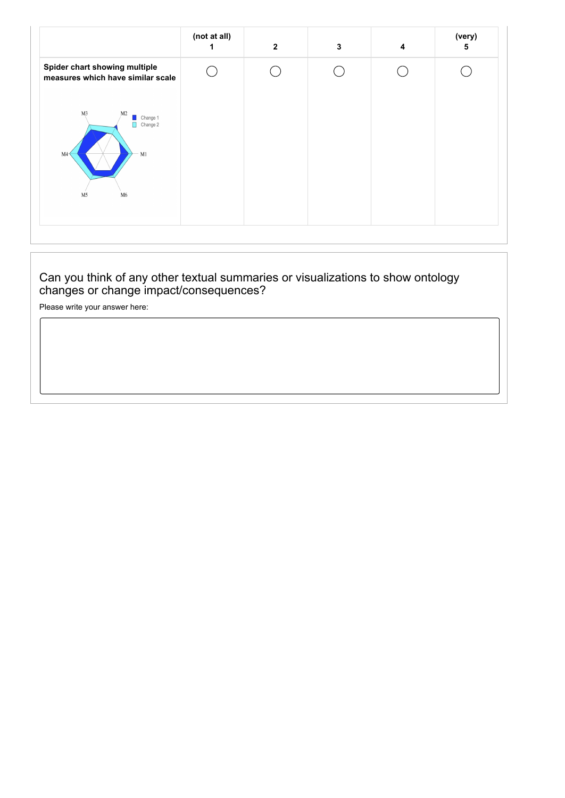|                                                                                                     | (not at all) | $\overline{2}$ | 3 | 4 | (very)<br>5 |
|-----------------------------------------------------------------------------------------------------|--------------|----------------|---|---|-------------|
| Spider chart showing multiple<br>measures which have similar scale                                  |              |                |   |   |             |
| M3<br>M <sub>2</sub><br>Change 1<br>$\Box$ Change 2<br>M1<br>M4<br>M <sub>5</sub><br>M <sub>6</sub> |              |                |   |   |             |

## Can you think of any other textual summaries or visualizations to show ontology changes or change impact/consequences?

Please write your answer here: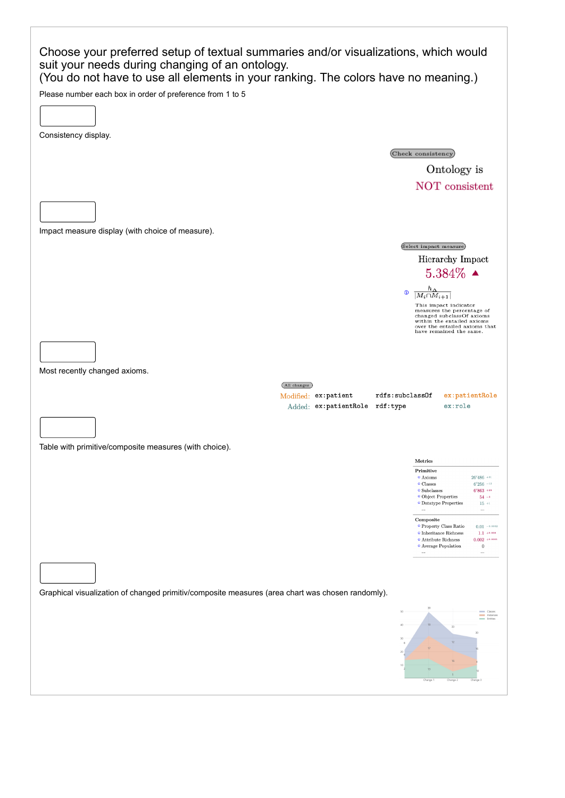| Choose your preferred setup of textual summaries and/or visualizations, which would<br>suit your needs during changing of an ontology.<br>(You do not have to use all elements in your ranking. The colors have no meaning.) |                                                                                                                               |
|------------------------------------------------------------------------------------------------------------------------------------------------------------------------------------------------------------------------------|-------------------------------------------------------------------------------------------------------------------------------|
| Please number each box in order of preference from 1 to 5                                                                                                                                                                    |                                                                                                                               |
| Consistency display.                                                                                                                                                                                                         |                                                                                                                               |
|                                                                                                                                                                                                                              | (Check consistency)                                                                                                           |
|                                                                                                                                                                                                                              | Ontology is                                                                                                                   |
|                                                                                                                                                                                                                              | NOT consistent                                                                                                                |
|                                                                                                                                                                                                                              |                                                                                                                               |
| Impact measure display (with choice of measure).                                                                                                                                                                             |                                                                                                                               |
|                                                                                                                                                                                                                              | (Select impact measure)                                                                                                       |
|                                                                                                                                                                                                                              | Hierarchy Impact<br>$5.384\%$ $\triangle$                                                                                     |
| จ                                                                                                                                                                                                                            | $\frac{h_{\Delta}}{ M_i \cap M_{i+1} }$                                                                                       |
|                                                                                                                                                                                                                              | This impact indicator<br>measures the percentage of<br>changed subclassOf axioms                                              |
|                                                                                                                                                                                                                              | within the entailed axioms<br>over the entailed axioms that<br>have remained the same.                                        |
|                                                                                                                                                                                                                              |                                                                                                                               |
|                                                                                                                                                                                                                              |                                                                                                                               |
| Most recently changed axioms.                                                                                                                                                                                                |                                                                                                                               |
| (All changes)                                                                                                                                                                                                                |                                                                                                                               |
| rdfs:subclass0f<br>Modified: ex:patient<br>Added: ex:patientRole rdf:type                                                                                                                                                    | $ex:$ patient $R$ ole<br>ex:role                                                                                              |
|                                                                                                                                                                                                                              |                                                                                                                               |
| Table with primitive/composite measures (with choice).                                                                                                                                                                       |                                                                                                                               |
|                                                                                                                                                                                                                              | Metrics                                                                                                                       |
|                                                                                                                                                                                                                              | Primitive<br><sup>o</sup> Axioms<br>$26'486$ +31<br>$\circ$ Classes<br>$6'256$ -12                                            |
|                                                                                                                                                                                                                              | $\circ$ Subclasses<br>$6'863$ +29<br><sup>o</sup> Object Properties<br>$54 -$<br><sup>o</sup> Datatype Properties<br>$15 + 1$ |
|                                                                                                                                                                                                                              | $\cdots$<br>$\ldots$<br>Composite<br><sup>o</sup> Property Class Ratio<br>$0.01 - 0.0002$                                     |
|                                                                                                                                                                                                                              | $\bullet$ Inheritance Richness<br>$1.1 + 0.008$<br>$\bullet$ Attribute Richness<br>$0.002 + 0.0001$                           |
|                                                                                                                                                                                                                              | <sup>o</sup> Average Population<br>$\boldsymbol{0}$<br>$\cdots$<br>                                                           |
|                                                                                                                                                                                                                              |                                                                                                                               |
| Graphical visualization of changed primitiv/composite measures (area chart was chosen randomly).                                                                                                                             |                                                                                                                               |
| 50                                                                                                                                                                                                                           | Classes<br>Instances<br>Entities                                                                                              |
| 40<br>30                                                                                                                                                                                                                     | 18<br>33<br>30<br>12                                                                                                          |
| 20                                                                                                                                                                                                                           |                                                                                                                               |
| 10                                                                                                                                                                                                                           | Change<br>Change 2<br>Chang                                                                                                   |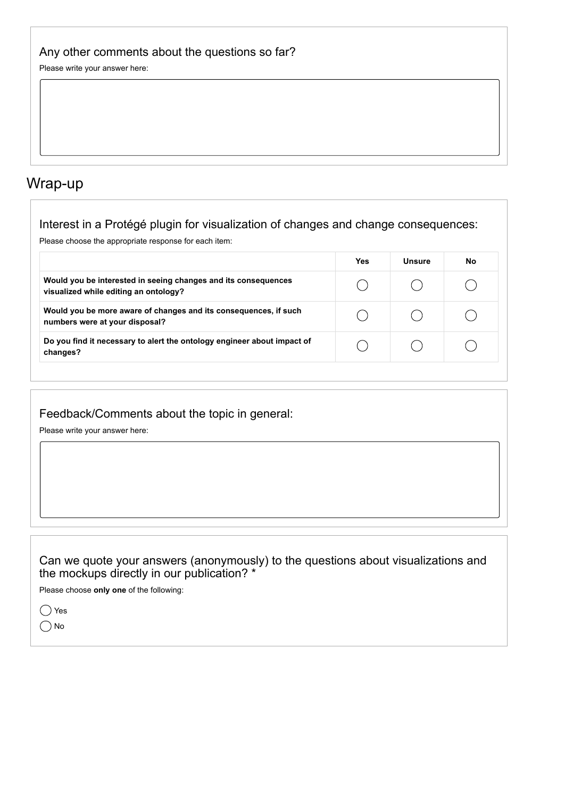## Any other comments about the questions so far?

Please write your answer here:

## Wrap-up

## Interest in a Protégé plugin for visualization of changes and change consequences:

Please choose the appropriate response for each item:

|                                                                                                         | <b>Yes</b> | Unsure | No |
|---------------------------------------------------------------------------------------------------------|------------|--------|----|
| Would you be interested in seeing changes and its consequences<br>visualized while editing an ontology? |            |        |    |
| Would you be more aware of changes and its consequences, if such<br>numbers were at your disposal?      |            |        |    |
| Do you find it necessary to alert the ontology engineer about impact of<br>changes?                     |            |        |    |

Feedback/Comments about the topic in general:

Please write your answer here:

## Can we quote your answers (anonymously) to the questions about visualizations and the mockups directly in our publication? \*

Please choose **only one** of the following:

◯ Yes O No